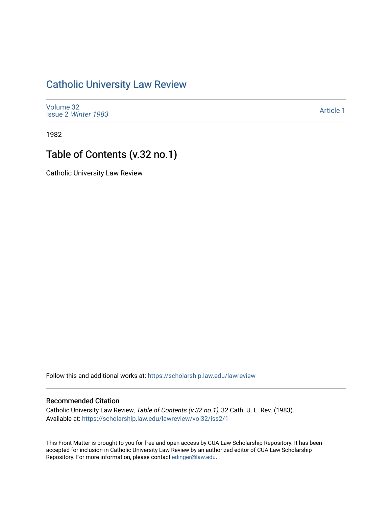## [Catholic University Law Review](https://scholarship.law.edu/lawreview)

[Volume 32](https://scholarship.law.edu/lawreview/vol32) Issue 2 [Winter 1983](https://scholarship.law.edu/lawreview/vol32/iss2) 

[Article 1](https://scholarship.law.edu/lawreview/vol32/iss2/1) 

1982

# Table of Contents (v.32 no.1)

Catholic University Law Review

Follow this and additional works at: [https://scholarship.law.edu/lawreview](https://scholarship.law.edu/lawreview?utm_source=scholarship.law.edu%2Flawreview%2Fvol32%2Fiss2%2F1&utm_medium=PDF&utm_campaign=PDFCoverPages)

#### Recommended Citation

Catholic University Law Review, Table of Contents (v.32 no.1), 32 Cath. U. L. Rev. (1983). Available at: [https://scholarship.law.edu/lawreview/vol32/iss2/1](https://scholarship.law.edu/lawreview/vol32/iss2/1?utm_source=scholarship.law.edu%2Flawreview%2Fvol32%2Fiss2%2F1&utm_medium=PDF&utm_campaign=PDFCoverPages)

This Front Matter is brought to you for free and open access by CUA Law Scholarship Repository. It has been accepted for inclusion in Catholic University Law Review by an authorized editor of CUA Law Scholarship Repository. For more information, please contact [edinger@law.edu.](mailto:edinger@law.edu)